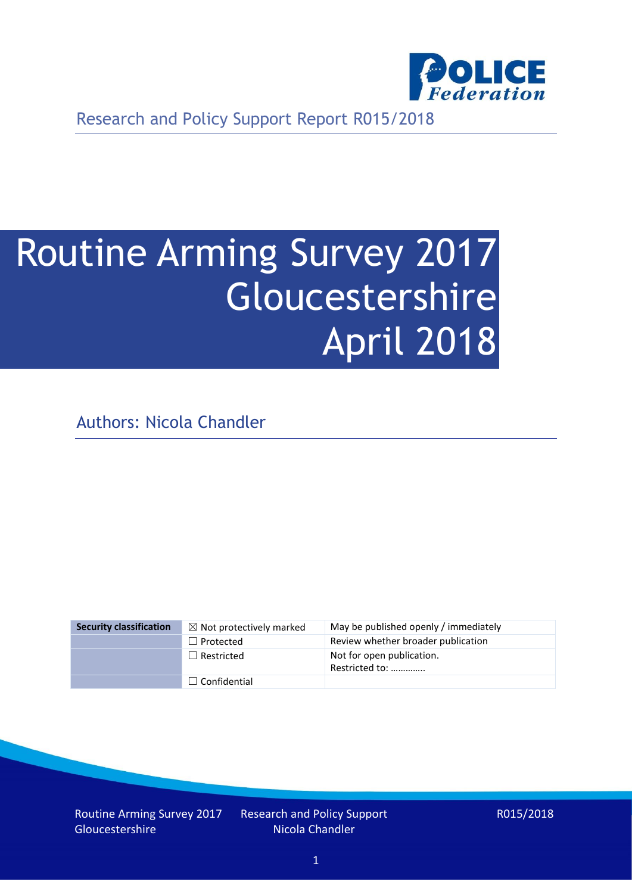

Research and Policy Support Report R015/2018

# Routine Arming Survey 2017 Gloucestershire April 2018

Authors: Nicola Chandler

| <b>Security classification</b> | $\boxtimes$ Not protectively marked | May be published openly / immediately       |
|--------------------------------|-------------------------------------|---------------------------------------------|
|                                | $\Box$ Protected                    | Review whether broader publication          |
|                                | $\Box$ Restricted                   | Not for open publication.<br>Restricted to: |
|                                | $\Box$ Confidential                 |                                             |

Routine Arming Survey 2017 Gloucestershire

Research and Policy Support Nicola Chandler

R015/2018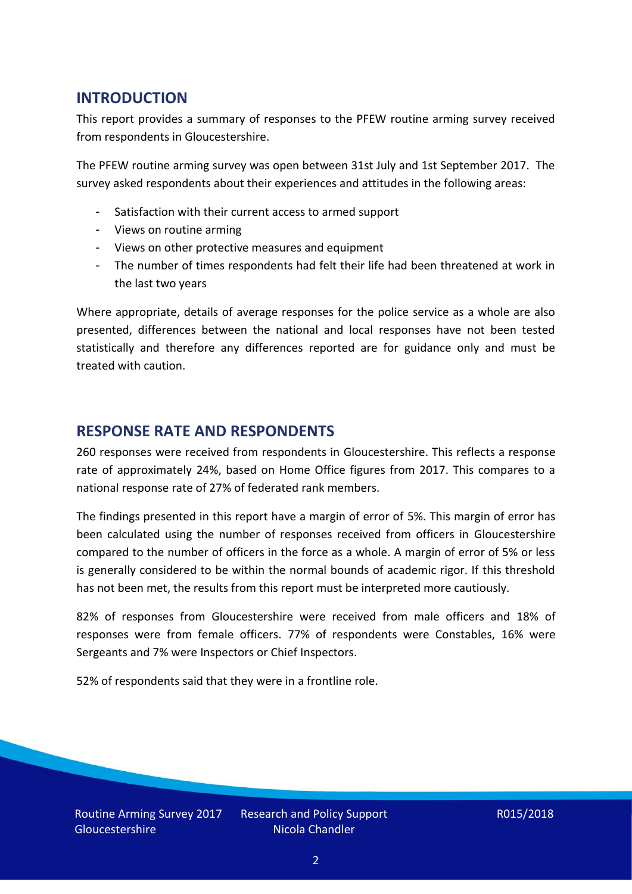# **INTRODUCTION**

This report provides a summary of responses to the PFEW routine arming survey received from respondents in Gloucestershire.

The PFEW routine arming survey was open between 31st July and 1st September 2017. The survey asked respondents about their experiences and attitudes in the following areas:

- Satisfaction with their current access to armed support
- Views on routine arming
- Views on other protective measures and equipment
- The number of times respondents had felt their life had been threatened at work in the last two years

Where appropriate, details of average responses for the police service as a whole are also presented, differences between the national and local responses have not been tested statistically and therefore any differences reported are for guidance only and must be treated with caution.

## **RESPONSE RATE AND RESPONDENTS**

260 responses were received from respondents in Gloucestershire. This reflects a response rate of approximately 24%, based on Home Office figures from 2017. This compares to a national response rate of 27% of federated rank members.

The findings presented in this report have a margin of error of 5%. This margin of error has been calculated using the number of responses received from officers in Gloucestershire compared to the number of officers in the force as a whole. A margin of error of 5% or less is generally considered to be within the normal bounds of academic rigor. If this threshold has not been met, the results from this report must be interpreted more cautiously.

82% of responses from Gloucestershire were received from male officers and 18% of responses were from female officers. 77% of respondents were Constables, 16% were Sergeants and 7% were Inspectors or Chief Inspectors.

52% of respondents said that they were in a frontline role.

Routine Arming Survey 2017 Gloucestershire

Research and Policy Support Nicola Chandler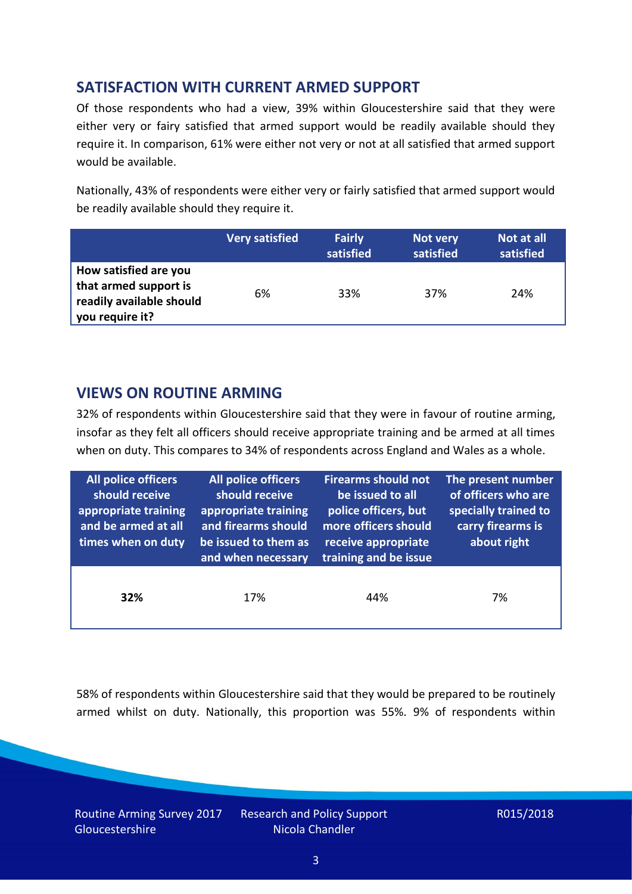# **SATISFACTION WITH CURRENT ARMED SUPPORT**

Of those respondents who had a view, 39% within Gloucestershire said that they were either very or fairy satisfied that armed support would be readily available should they require it. In comparison, 61% were either not very or not at all satisfied that armed support would be available.

Nationally, 43% of respondents were either very or fairly satisfied that armed support would be readily available should they require it.

|                                                                                               | <b>Very satisfied</b> | <b>Fairly</b><br>satisfied | Not very<br>satisfied | Not at all<br>satisfied |
|-----------------------------------------------------------------------------------------------|-----------------------|----------------------------|-----------------------|-------------------------|
| How satisfied are you<br>that armed support is<br>readily available should<br>you require it? | 6%                    | 33%                        | 37%                   | 24%                     |

# **VIEWS ON ROUTINE ARMING**

32% of respondents within Gloucestershire said that they were in favour of routine arming, insofar as they felt all officers should receive appropriate training and be armed at all times when on duty. This compares to 34% of respondents across England and Wales as a whole.

| <b>All police officers</b><br>should receive<br>appropriate training<br>and be armed at all<br>times when on duty | All police officers<br>should receive<br>appropriate training<br>and firearms should<br>be issued to them as<br>and when necessary | <b>Firearms should not</b><br>be issued to all<br>police officers, but<br>more officers should<br>receive appropriate<br>training and be issue | The present number<br>of officers who are<br>specially trained to<br>carry firearms is<br>about right |  |
|-------------------------------------------------------------------------------------------------------------------|------------------------------------------------------------------------------------------------------------------------------------|------------------------------------------------------------------------------------------------------------------------------------------------|-------------------------------------------------------------------------------------------------------|--|
| 32%                                                                                                               | 17%                                                                                                                                | 44%                                                                                                                                            | 7%                                                                                                    |  |

58% of respondents within Gloucestershire said that they would be prepared to be routinely armed whilst on duty. Nationally, this proportion was 55%. 9% of respondents within

Routine Arming Survey 2017 **Gloucestershire** 

Research and Policy Support Nicola Chandler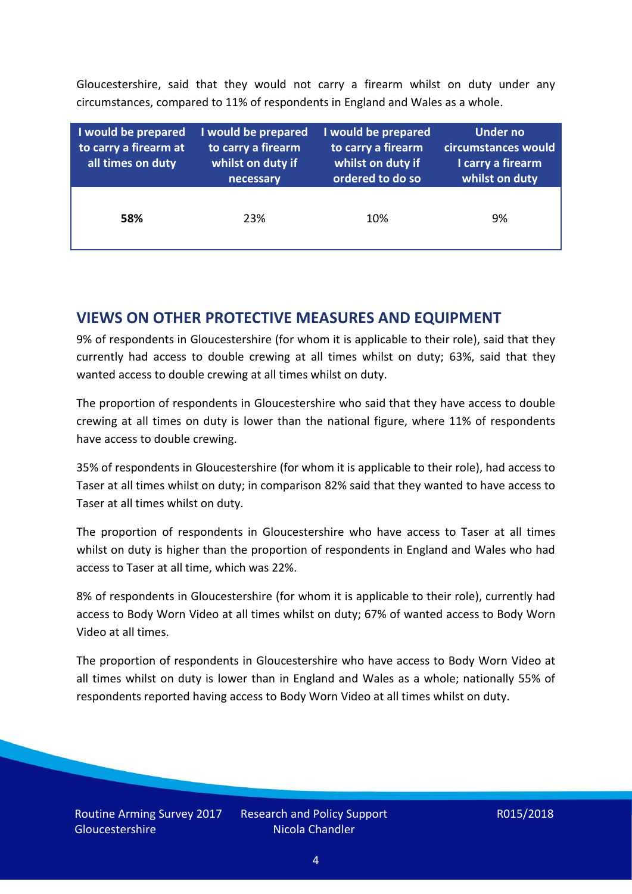Gloucestershire, said that they would not carry a firearm whilst on duty under any circumstances, compared to 11% of respondents in England and Wales as a whole.

| I would be prepared<br>to carry a firearm at<br>all times on duty | I would be prepared<br>to carry a firearm<br>whilst on duty if<br>necessary | I would be prepared<br>to carry a firearm<br>whilst on duty if<br>ordered to do so | <b>Under no</b><br>circumstances would<br>I carry a firearm<br>whilst on duty |  |  |
|-------------------------------------------------------------------|-----------------------------------------------------------------------------|------------------------------------------------------------------------------------|-------------------------------------------------------------------------------|--|--|
| 58%                                                               | 23%                                                                         | 10%                                                                                | 9%                                                                            |  |  |

## **VIEWS ON OTHER PROTECTIVE MEASURES AND EQUIPMENT**

9% of respondents in Gloucestershire (for whom it is applicable to their role), said that they currently had access to double crewing at all times whilst on duty; 63%, said that they wanted access to double crewing at all times whilst on duty.

The proportion of respondents in Gloucestershire who said that they have access to double crewing at all times on duty is lower than the national figure, where 11% of respondents have access to double crewing.

35% of respondents in Gloucestershire (for whom it is applicable to their role), had access to Taser at all times whilst on duty; in comparison 82% said that they wanted to have access to Taser at all times whilst on duty.

The proportion of respondents in Gloucestershire who have access to Taser at all times whilst on duty is higher than the proportion of respondents in England and Wales who had access to Taser at all time, which was 22%.

8% of respondents in Gloucestershire (for whom it is applicable to their role), currently had access to Body Worn Video at all times whilst on duty; 67% of wanted access to Body Worn Video at all times.

The proportion of respondents in Gloucestershire who have access to Body Worn Video at all times whilst on duty is lower than in England and Wales as a whole; nationally 55% of respondents reported having access to Body Worn Video at all times whilst on duty.

Research and Policy Support Nicola Chandler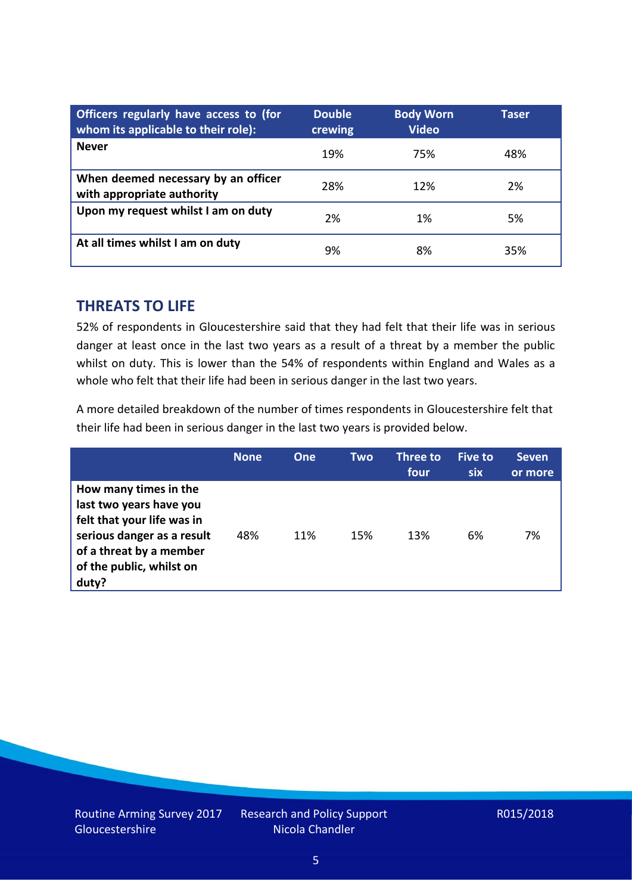| Officers regularly have access to (for<br>whom its applicable to their role): | <b>Double</b><br>crewing | <b>Body Worn</b><br><b>Video</b> | Taser |
|-------------------------------------------------------------------------------|--------------------------|----------------------------------|-------|
| <b>Never</b>                                                                  | 19%                      | 75%                              | 48%   |
| When deemed necessary by an officer<br>with appropriate authority             | 28%                      | 12%                              | 2%    |
| Upon my request whilst I am on duty                                           | 2%                       | 1%                               | 5%    |
| At all times whilst I am on duty                                              | 9%                       | 8%                               | 35%   |

#### **THREATS TO LIFE**

52% of respondents in Gloucestershire said that they had felt that their life was in serious danger at least once in the last two years as a result of a threat by a member the public whilst on duty. This is lower than the 54% of respondents within England and Wales as a whole who felt that their life had been in serious danger in the last two years.

A more detailed breakdown of the number of times respondents in Gloucestershire felt that their life had been in serious danger in the last two years is provided below.

|                                                                                                                                                                              | <b>None</b> | One | Two | Three to<br>four | Five to<br><b>six</b> | <b>Seven</b><br>or more |
|------------------------------------------------------------------------------------------------------------------------------------------------------------------------------|-------------|-----|-----|------------------|-----------------------|-------------------------|
| How many times in the<br>last two years have you<br>felt that your life was in<br>serious danger as a result<br>of a threat by a member<br>of the public, whilst on<br>duty? | 48%         | 11% | 15% | 13%              | 6%                    | 7%                      |

Research and Policy Support Nicola Chandler

#### R015/2018